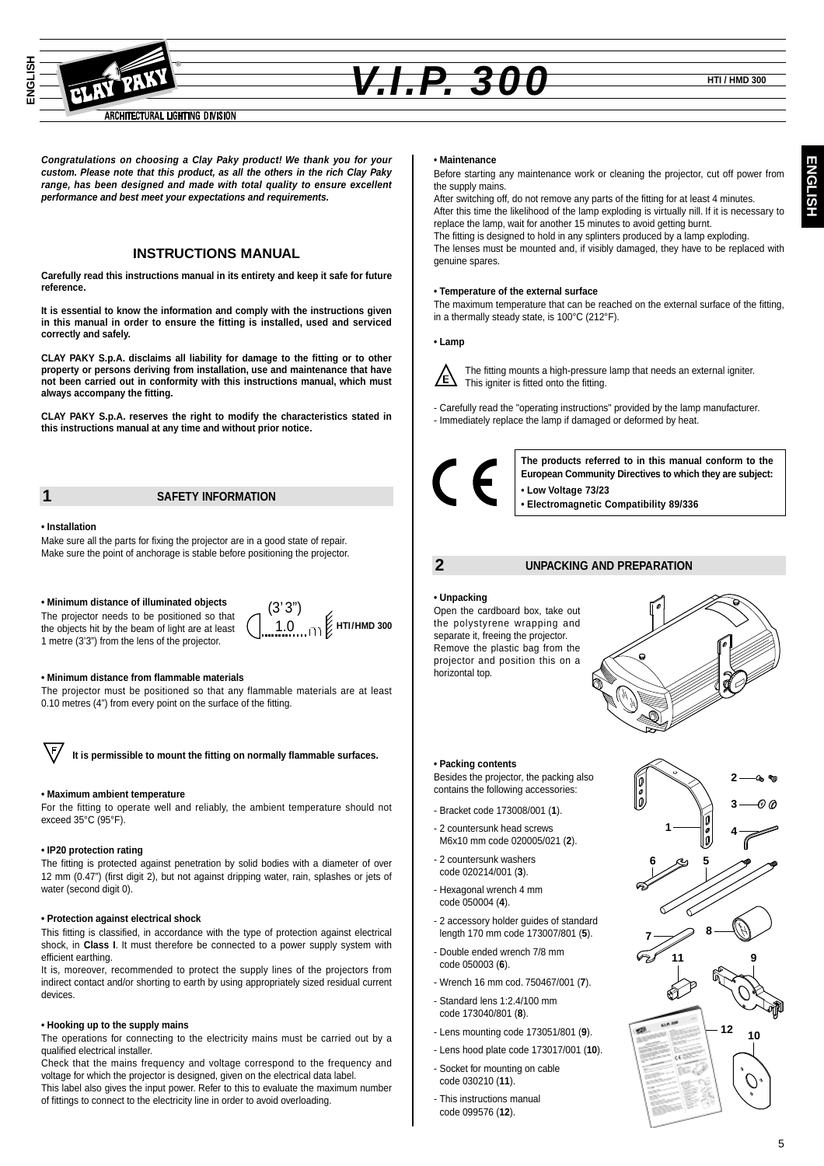

# *V.I.P. 300* **HTI / HMD 300**

**Congratulations on choosing a Clay Paky product! We thank you for your custom. Please note that this product, as all the others in the rich Clay Paky range, has been designed and made with total quality to ensure excellent performance and best meet your expectations and requirements.**

### **INSTRUCTIONS MANUAL**

**Carefully read this instructions manual in its entirety and keep it safe for future reference.**

**It is essential to know the information and comply with the instructions given in this manual in order to ensure the fitting is installed, used and serviced correctly and safely.**

**CLAY PAKY S.p.A. disclaims all liability for damage to the fitting or to other property or persons deriving from installation, use and maintenance that have not been carried out in conformity with this instructions manual, which must always accompany the fitting.**

**CLAY PAKY S.p.A. reserves the right to modify the characteristics stated in this instructions manual at any time and without prior notice.**

#### **1 SAFETY INFORMATION**

#### **• Installation**

Make sure all the parts for fixing the projector are in a good state of repair. Make sure the point of anchorage is stable before positioning the projector.

#### **• Minimum distance of illuminated objects**

The projector needs to be positioned so that the objects hit by the beam of light are at least 1 metre (3'3") from the lens of the projector.

#### **• Minimum distance from flammable materials**

The projector must be positioned so that any flammable materials are at least 0.10 metres (4") from every point on the surface of the fitting.

(3' 3") 1.0

**HTI/HMD 300**



**It is permissible to mount the fitting on normally flammable surfaces.**

#### **• Maximum ambient temperature**

For the fitting to operate well and reliably, the ambient temperature should not exceed 35°C (95°F).

#### **• IP20 protection rating**

The fitting is protected against penetration by solid bodies with a diameter of over 12 mm (0.47") (first digit 2), but not against dripping water, rain, splashes or jets of water (second digit 0).

#### **• Protection against electrical shock**

This fitting is classified, in accordance with the type of protection against electrical shock, in **Class I**. It must therefore be connected to a power supply system with efficient earthing.

It is, moreover, recommended to protect the supply lines of the projectors from indirect contact and/or shorting to earth by using appropriately sized residual current devices.

#### **• Hooking up to the supply mains**

The operations for connecting to the electricity mains must be carried out by a qualified electrical installer.

Check that the mains frequency and voltage correspond to the frequency and voltage for which the projector is designed, given on the electrical data label. This label also gives the input power. Refer to this to evaluate the maximum number of fittings to connect to the electricity line in order to avoid overloading.

#### **• Maintenance**

Before starting any maintenance work or cleaning the projector, cut off power from the supply mains.

After switching off, do not remove any parts of the fitting for at least 4 minutes. After this time the likelihood of the lamp exploding is virtually nill. If it is necessary to replace the lamp, wait for another 15 minutes to avoid getting burnt. The fitting is designed to hold in any splinters produced by a lamp exploding.

The lenses must be mounted and, if visibly damaged, they have to be replaced with genuine spares.

#### **• Temperature of the external surface**

The maximum temperature that can be reached on the external surface of the fitting, in a thermally steady state, is 100°C (212°F).

#### **• Lamp**



The fitting mounts a high-pressure lamp that needs an external igniter. This igniter is fitted onto the fitting.

- Carefully read the "operating instructions" provided by the lamp manufacturer.

- Immediately replace the lamp if damaged or deformed by heat.



**The products referred to in this manual conform to the European Community Directives to which they are subject: • Low Voltage 73/23 • Electromagnetic Compatibility 89/336**

### **2 UNPACKING AND PREPARATION**

#### **• Unpacking**

Open the cardboard box, take out the polystyrene wrapping and separate it, freeing the projector. Remove the plastic bag from the projector and position this on a horizontal top.



**6**

#### **• Packing contents**

Besides the projector, the packing also contains the following accessories:

- Bracket code 173008/001 (**1**).
- 2 countersunk head screws M6x10 mm code 020005/021 (**2**).
- 2 countersunk washers code 020214/001 (**3**).
- Hexagonal wrench 4 mm code 050004 (**4**).
- 2 accessory holder guides of standard length 170 mm code 173007/801 (**5**).
- Double ended wrench 7/8 mm code 050003 (**6**).
- Wrench 16 mm cod. 750467/001 (**7**).
- Standard lens 1:2.4/100 mm code 173040/801 (**8**).
- Lens mounting code 173051/801 (**9**).
- Lens hood plate code 173017/001 (**10**).
- Socket for mounting on cable code 030210 (**11**).
- This instructions manual code 099576 (**12**).

**2 3**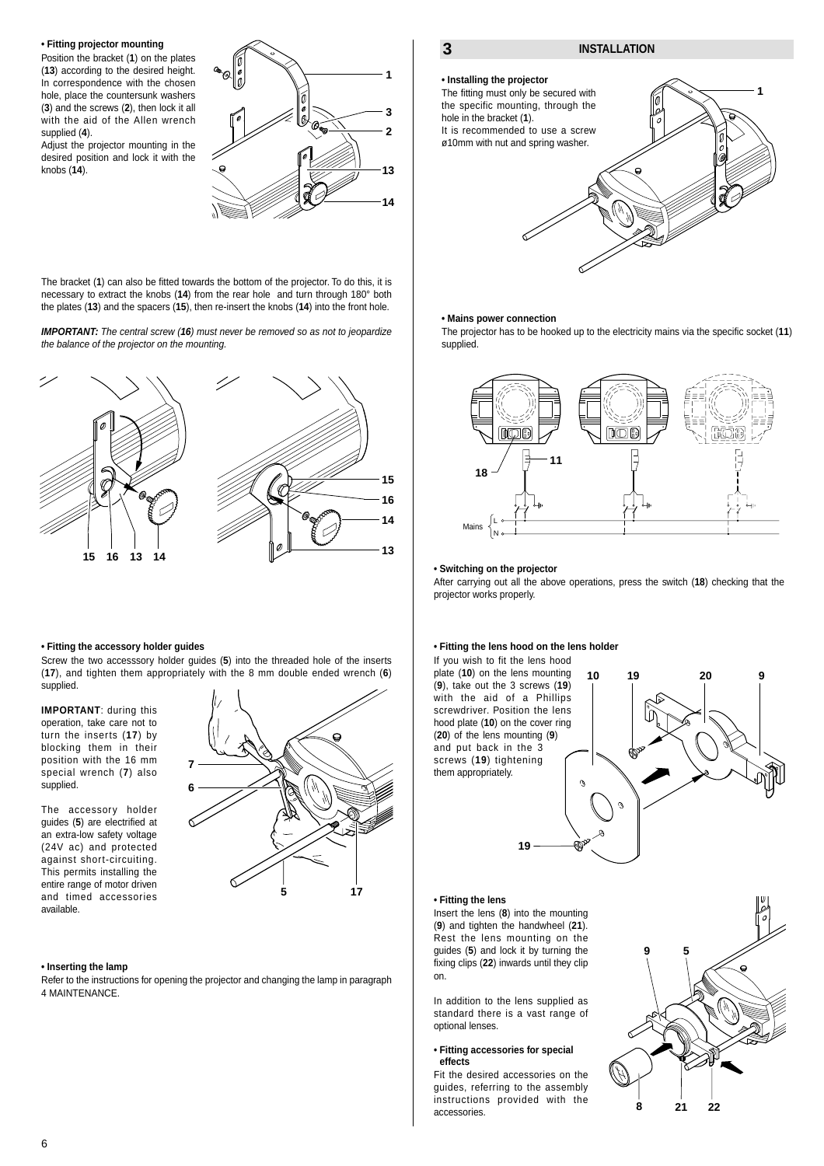#### **• Fitting projector mounting**

Position the bracket (**1**) on the plates (**13**) according to the desired height. In correspondence with the chosen hole, place the countersunk washers (**3**) and the screws (**2**), then lock it all with the aid of the Allen wrench supplied (**4**).

Adjust the projector mounting in the desired position and lock it with the knobs (**14**).



The bracket (**1**) can also be fitted towards the bottom of the projector. To do this, it is necessary to extract the knobs (**14**) from the rear hole and turn through 180° both the plates (**13**) and the spacers (**15**), then re-insert the knobs (**14**) into the front hole.

**IMPORTANT:** The central screw (**16**) must never be removed so as not to jeopardize the balance of the projector on the mounting.



#### **• Fitting the accessory holder guides**

Screw the two accesssory holder guides (**5**) into the threaded hole of the inserts (**17**), and tighten them appropriately with the 8 mm double ended wrench (**6**) supplied.

> **7 6**

**IMPORTANT**: during this operation, take care not to turn the inserts (**17**) by blocking them in their position with the 16 mm special wrench (**7**) also supplied.

The accessory holder guides (**5**) are electrified at an extra-low safety voltage (24V ac) and protected against short-circuiting. This permits installing the entire range of motor driven and timed accessories available.



#### **• Inserting the lamp**

Refer to the instructions for opening the projector and changing the lamp in paragraph 4 MAINTENANCE.



#### **• Mains power connection**

The projector has to be hooked up to the electricity mains via the specific socket (**11**) supplied.



#### **• Switching on the projector**

After carrying out all the above operations, press the switch (**18**) checking that the projector works properly.

#### **• Fitting the lens hood on the lens holder**

If you wish to fit the lens hood plate (**10**) on the lens mounting (**9**), take out the 3 screws (**19**) with the aid of a Phillips screwdriver. Position the lens hood plate (**10**) on the cover ring (**20**) of the lens mounting (**9**) and put back in the 3 screws (**19**) tightening them appropriately.



#### **• Fitting the lens**

Insert the lens (**8**) into the mounting (**9**) and tighten the handwheel (**21**). Rest the lens mounting on the guides (**5**) and lock it by turning the fixing clips (**22**) inwards until they clip on.

**19**

In addition to the lens supplied as standard there is a vast range of optional lenses.

#### **• Fitting accessories for special effects**

Fit the desired accessories on the guides, referring to the assembly instructions provided with the accessories.

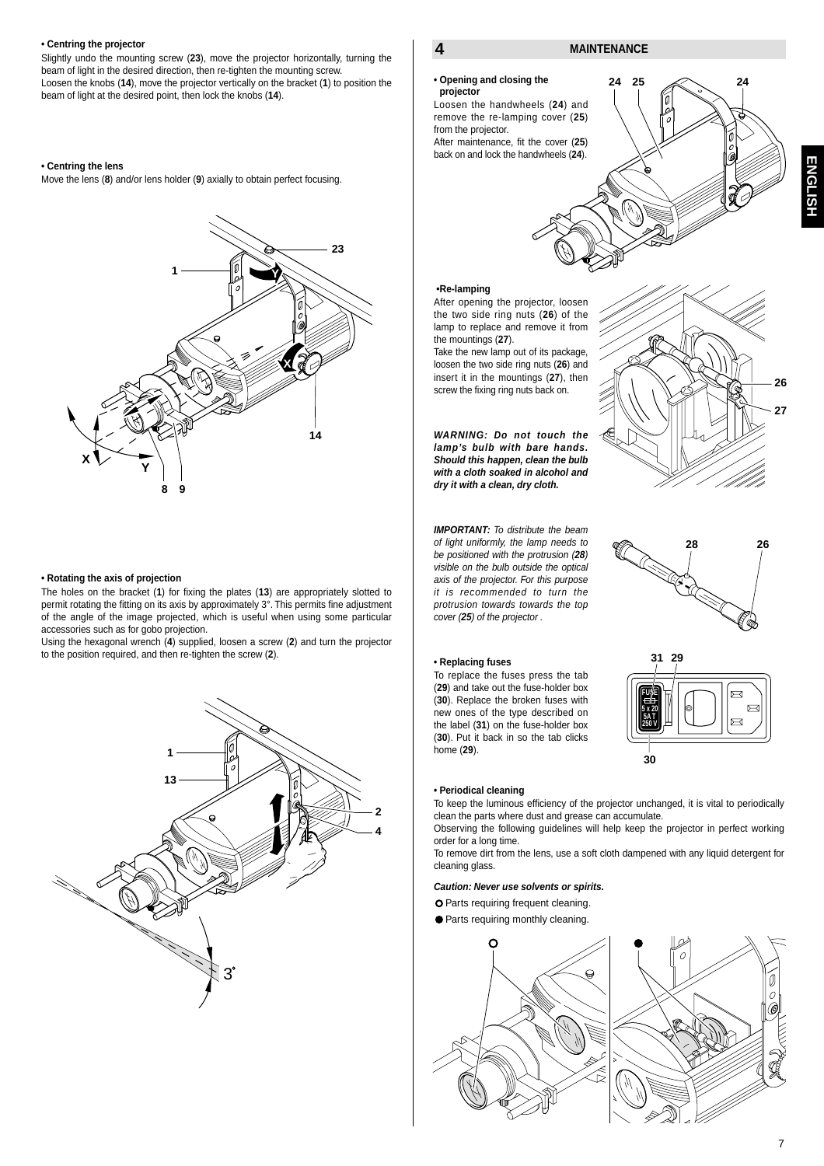#### **• Centring the projector**

Slightly undo the mounting screw (**23**), move the projector horizontally, turning the beam of light in the desired direction, then re-tighten the mounting screw. Loosen the knobs (**14**), move the projector vertically on the bracket (**1**) to position the beam of light at the desired point, then lock the knobs (**14**).

#### **• Centring the lens**

Move the lens (**8**) and/or lens holder (**9**) axially to obtain perfect focusing.



#### **• Rotating the axis of projection**

The holes on the bracket (**1**) for fixing the plates (**13**) are appropriately slotted to permit rotating the fitting on its axis by approximately 3°. This permits fine adjustment of the angle of the image projected, which is useful when using some particular accessories such as for gobo projection.

Using the hexagonal wrench (**4**) supplied, loosen a screw (**2**) and turn the projector to the position required, and then re-tighten the screw (**2**).



#### **4 MAINTENANCE**

**• Opening and closing the projector**

Loosen the handwheels (**24**) and remove the re-lamping cover (**25**) from the projector.

After maintenance, fit the cover (**25**) back on and lock the handwheels (**24**).



**ENGLISH**

**ENGLISH** 

#### **•Re-lamping**

After opening the projector, loosen the two side ring nuts (**26**) of the lamp to replace and remove it from the mountings (**27**).

Take the new lamp out of its package, loosen the two side ring nuts (**26**) and insert it in the mountings (**27**), then screw the fixing ring nuts back on.

**WARNING: Do not touch the lamp's bulb with bare hands. Should this happen, clean the bulb with a cloth soaked in alcohol and dry it with a clean, dry cloth.**

**IMPORTANT:** To distribute the beam of light uniformly, the lamp needs to be positioned with the protrusion (**28**) visible on the bulb outside the optical axis of the projector. For this purpose it is recommended to turn the protrusion towards towards the top cover (**25**) of the projector .

#### **• Replacing fuses**

To replace the fuses press the tab (**29**) and take out the fuse-holder box (**30**). Replace the broken fuses with new ones of the type described on the label (**31**) on the fuse-holder box (**30**). Put it back in so the tab clicks home (**29**).







#### **• Periodical cleaning**

To keep the luminous efficiency of the projector unchanged, it is vital to periodically clean the parts where dust and grease can accumulate.

Observing the following guidelines will help keep the projector in perfect working order for a long time.

To remove dirt from the lens, use a soft cloth dampened with any liquid detergent for cleaning glass.

#### **Caution: Never use solvents or spirits.**

O Parts requiring frequent cleaning.

Parts requiring monthly cleaning.